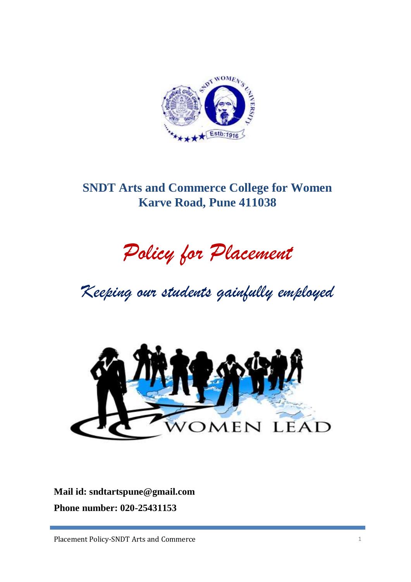

## **SNDT Arts and Commerce College for Women Karve Road, Pune 411038**

# *Policy for Placement*

*Keeping our students gainfully employed*



**Mail id: sndtartspune@gmail.com Phone number: 020-25431153**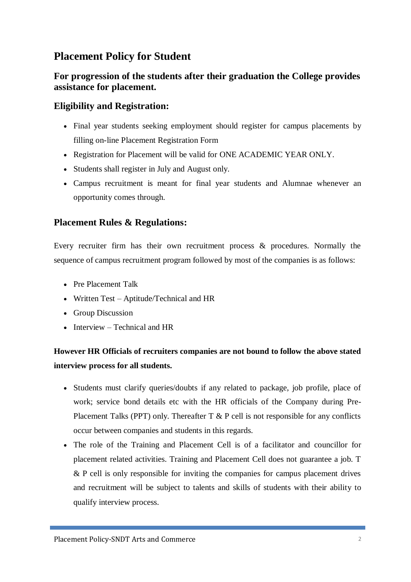## **Placement Policy for Student**

## **For progression of the students after their graduation the College provides assistance for placement.**

#### **Eligibility and Registration:**

- Final year students seeking employment should register for campus placements by filling on-line Placement Registration Form
- Registration for Placement will be valid for ONE ACADEMIC YEAR ONLY.
- Students shall register in July and August only.
- Campus recruitment is meant for final year students and Alumnae whenever an opportunity comes through.

## **Placement Rules & Regulations:**

Every recruiter firm has their own recruitment process & procedures. Normally the sequence of campus recruitment program followed by most of the companies is as follows:

- Pre Placement Talk
- Written Test Aptitude/Technical and HR
- Group Discussion
- $\bullet$  Interview Technical and HR

## **However HR Officials of recruiters companies are not bound to follow the above stated interview process for all students.**

- Students must clarify queries/doubts if any related to package, job profile, place of work; service bond details etc with the HR officials of the Company during Pre-Placement Talks (PPT) only. Thereafter  $T \& P$  cell is not responsible for any conflicts occur between companies and students in this regards.
- The role of the Training and Placement Cell is of a facilitator and councillor for placement related activities. Training and Placement Cell does not guarantee a job. T & P cell is only responsible for inviting the companies for campus placement drives and recruitment will be subject to talents and skills of students with their ability to qualify interview process.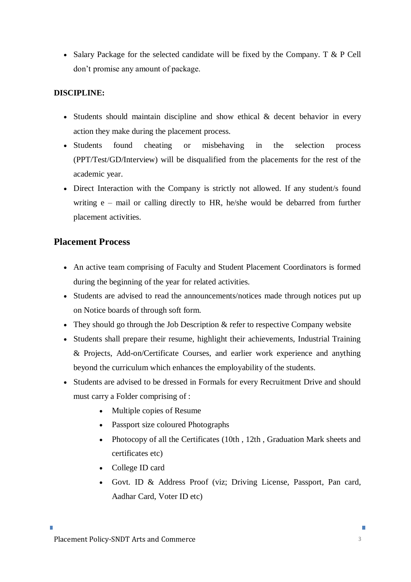• Salary Package for the selected candidate will be fixed by the Company. T  $\&$  P Cell don't promise any amount of package.

#### **DISCIPLINE:**

- Students should maintain discipline and show ethical & decent behavior in every action they make during the placement process.
- Students found cheating or misbehaving in the selection process (PPT/Test/GD/Interview) will be disqualified from the placements for the rest of the academic year.
- Direct Interaction with the Company is strictly not allowed. If any student/s found writing e – mail or calling directly to HR, he/she would be debarred from further placement activities.

#### **Placement Process**

- An active team comprising of Faculty and Student Placement Coordinators is formed during the beginning of the year for related activities.
- Students are advised to read the announcements/notices made through notices put up on Notice boards of through soft form.
- They should go through the Job Description & refer to respective Company website
- Students shall prepare their resume, highlight their achievements, Industrial Training & Projects, Add-on/Certificate Courses, and earlier work experience and anything beyond the curriculum which enhances the employability of the students.
- Students are advised to be dressed in Formals for every Recruitment Drive and should must carry a Folder comprising of :
	- Multiple copies of Resume
	- Passport size coloured Photographs
	- Photocopy of all the Certificates (10th, 12th, Graduation Mark sheets and certificates etc)
	- College ID card
	- Govt. ID & Address Proof (viz; Driving License, Passport, Pan card, Aadhar Card, Voter ID etc)

×